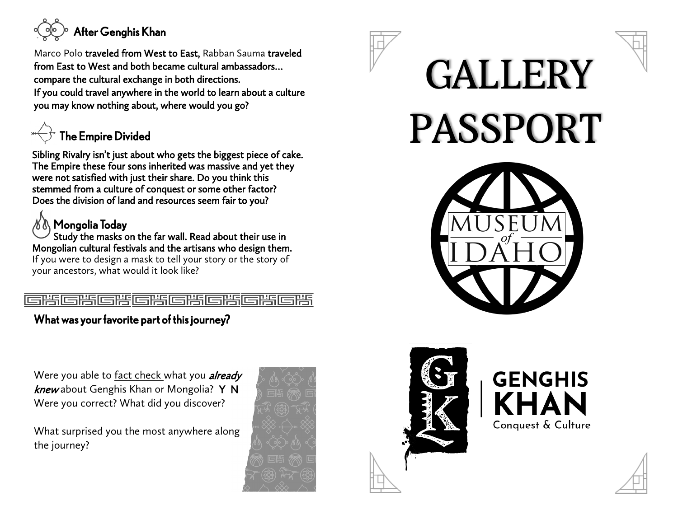

Marco Polo traveled from West to East, Rabban Sauma traveled from East to West and both became cultural ambassadors… compare the cultural exchange in both directions. If you could travel anywhere in the world to learn about a culture you may know nothing about, where would you go?



Sibling Rivalry isn't just about who gets the biggest piece of cake. The Empire these four sons inherited was massive and yet they were not satisfied with just their share. Do you think this stemmed from a culture of conquest or some other factor? Does the division of land and resources seem fair to you?

## Mongolia Today

Study the masks on the far wall. Read about their use in Mongolian cultural festivals and the artisans who design them.

If you were to design a mask to tell your story or the story of your ancestors, what would it look like?

#### 

#### What was your favorite part of this journey?

Were you able to fact check what you *already* knew about Genghis Khan or Mongolia? Y N Were you correct? What did you discover?

What surprised you the most anywhere along the journey?







# **GENGHIS KHAN** Conquest & Culture